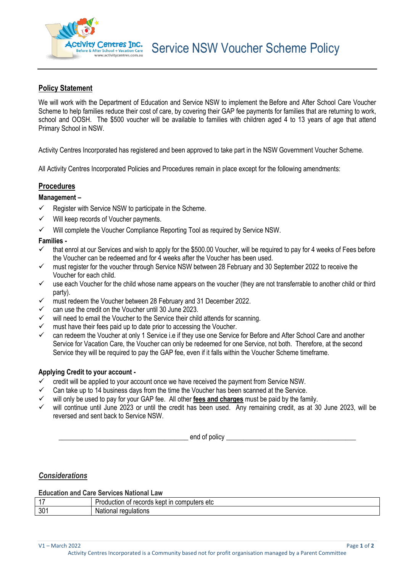

# **Policy Statement**

We will work with the Department of Education and Service NSW to implement the Before and After School Care Voucher Scheme to help families reduce their cost of care, by covering their GAP fee payments for families that are returning to work, school and OOSH. The \$500 voucher will be available to families with children aged 4 to 13 years of age that attend Primary School in NSW.

Activity Centres Incorporated has registered and been approved to take part in the NSW Government Voucher Scheme.

All Activity Centres Incorporated Policies and Procedures remain in place except for the following amendments:

## **Procedures**

### **Management –**

- $\checkmark$  Register with Service NSW to participate in the Scheme.
- ✓ Will keep records of Voucher payments.
- ✓ Will complete the Voucher Compliance Reporting Tool as required by Service NSW.

### **Families -**

- $\checkmark$  that enrol at our Services and wish to apply for the \$500.00 Voucher, will be required to pay for 4 weeks of Fees before the Voucher can be redeemed and for 4 weeks after the Voucher has been used.
- ✓ must register for the voucher through Service NSW between 28 February and 30 September 2022 to receive the Voucher for each child.
- $\checkmark$  use each Voucher for the child whose name appears on the voucher (they are not transferrable to another child or third party).
- ✓ must redeem the Voucher between 28 February and 31 December 2022.
- can use the credit on the Voucher until 30 June 2023.
- $\checkmark$  will need to email the Voucher to the Service their child attends for scanning.
- $\checkmark$  must have their fees paid up to date prior to accessing the Voucher.
- ✓ can redeem the Voucher at only 1 Service i.e if they use one Service for Before and After School Care and another Service for Vacation Care, the Voucher can only be redeemed for one Service, not both. Therefore, at the second Service they will be required to pay the GAP fee, even if it falls within the Voucher Scheme timeframe.

### **Applying Credit to your account -**

- $\checkmark$  credit will be applied to your account once we have received the payment from Service NSW.
- $\checkmark$  Can take up to 14 business days from the time the Voucher has been scanned at the Service.
- ✓ will only be used to pay for your GAP fee. All other **fees and charges** must be paid by the family.
- will continue until June 2023 or until the credit has been used. Any remaining credit, as at 30 June 2023, will be reversed and sent back to Service NSW.

 $\blacksquare$  end of policy

### *Considerations*

**Education and Care Services National Law**

| . –             | comp<br>----<br>nputers etc<br>------<br>.<br>---<br>:oduction<br>.nr<br>714<br>ΟL<br>ш<br>$\cdots$<br>טשו |
|-----------------|------------------------------------------------------------------------------------------------------------|
| 30 <sup>2</sup> | N۶<br>----<br>אווטו<br>. .                                                                                 |

V1 – March 2022 Page **1** of **2**